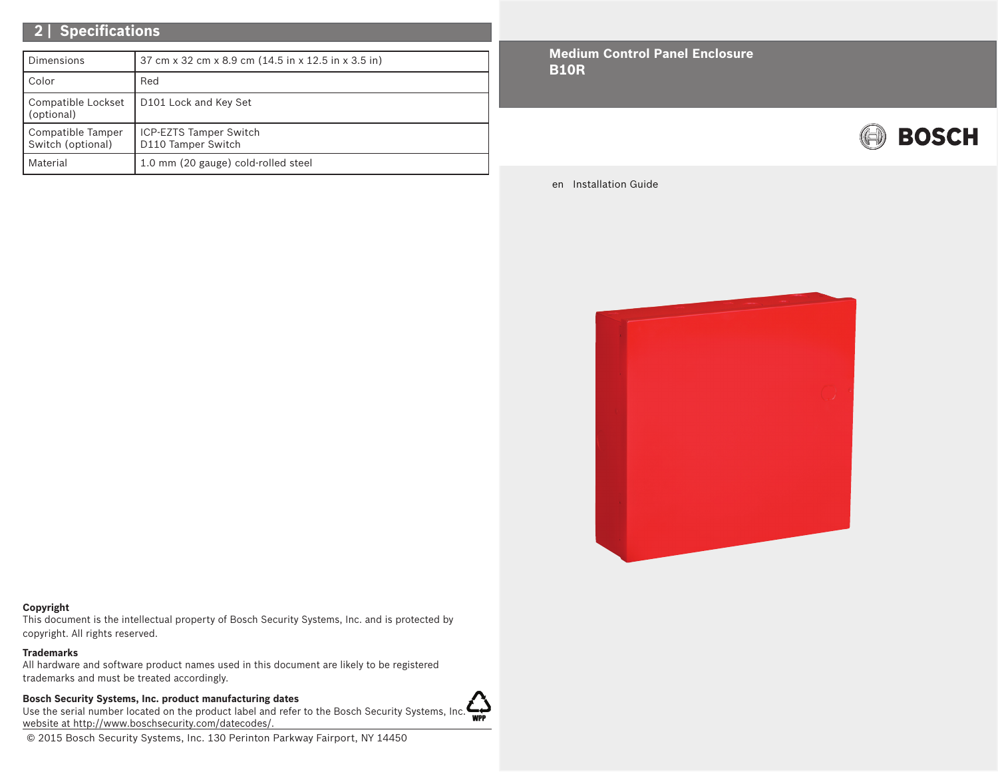# **2 | Specifications**

| Dimensions                             | 37 cm x 32 cm x 8.9 cm (14.5 in x 12.5 in x 3.5 in) |
|----------------------------------------|-----------------------------------------------------|
| Color                                  | Red                                                 |
| Compatible Lockset<br>(optional)       | D101 Lock and Key Set                               |
| Compatible Tamper<br>Switch (optional) | <b>ICP-EZTS Tamper Switch</b><br>D110 Tamper Switch |
| Material                               | 1.0 mm (20 gauge) cold-rolled steel                 |

**Medium Control Panel Enclosure B10R**



en Installation Guide



#### **Copyright**

This document is the intellectual property of Bosch Security Systems, Inc. and is protected by copyright. All rights reserved.

### **Trademarks**

All hardware and software product names used in this document are likely to be registered trademarks and must be treated accordingly.

### **Bosch Security Systems, Inc. product manufacturing dates**

Use the serial number located on the product label and refer to the Bosch Security Systems, Inc. website at http://www.boschsecurity.com/datecodes/.

© 2015 Bosch Security Systems, Inc. 130 Perinton Parkway Fairport, NY 14450